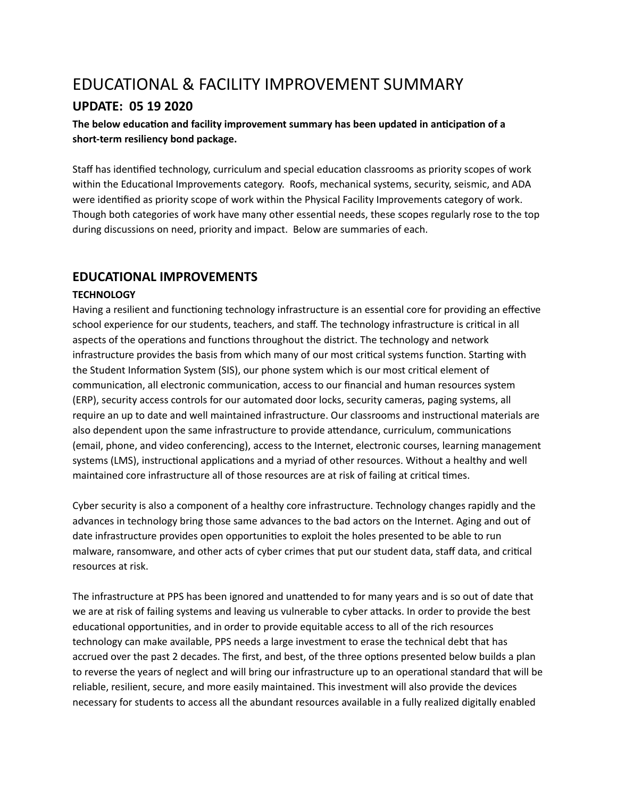# EDUCATIONAL & FACILITY IMPROVEMENT SUMMARY

# **UPDATE: 05 19 2020**

## **hearth below** education and facility improvement summary has been updated in anticipation of a **short-term resiliency bond package.**

Staff has identified technology, curriculum and special education classrooms as priority scopes of work within the Educational Improvements category. Roofs, mechanical systems, security, seismic, and ADA were idenfied as priority scope of work within the Physical Facility Improvements category of work. Though both categories of work have many other essential needs, these scopes regularly rose to the top during discussions on need, priority and impact. Below are summaries of each.

# **EDUCATIONAL IMPROVEMENTS**

## **TECHNOLOGY**

Having a resilient and functioning technology infrastructure is an essential core for providing an effective school experience for our students, teachers, and staff. The technology infrastructure is critical in all aspects of the operations and functions throughout the district. The technology and network infrastructure provides the basis from which many of our most critical systems function. Starting with the Student Information System (SIS), our phone system which is our most critical element of communication, all electronic communication, access to our financial and human resources system (ERP), security access controls for our automated door locks, security cameras, paging systems, all require an up to date and well maintained infrastructure. Our classrooms and instructional materials are also dependent upon the same infrastructure to provide attendance, curriculum, communications (email, phone, and video conferencing), access to the Internet, electronic courses, learning management systems (LMS), instructional applications and a myriad of other resources. Without a healthy and well maintained core infrastructure all of those resources are at risk of failing at critical times.

Cyber security is also a component of a healthy core infrastructure. Technology changes rapidly and the advances in technology bring those same advances to the bad actors on the Internet. Aging and out of date infrastructure provides open opportunities to exploit the holes presented to be able to run malware, ransomware, and other acts of cyber crimes that put our student data, staff data, and critical resources at risk.

The infrastructure at PPS has been ignored and unattended to for many years and is so out of date that we are at risk of failing systems and leaving us vulnerable to cyber attacks. In order to provide the best educational opportunities, and in order to provide equitable access to all of the rich resources technology can make available, PPS needs a large investment to erase the technical debt that has accrued over the past 2 decades. The first, and best, of the three options presented below builds a plan to reverse the years of neglect and will bring our infrastructure up to an operational standard that will be reliable, resilient, secure, and more easily maintained. This investment will also provide the devices necessary for students to access all the abundant resources available in a fully realized digitally enabled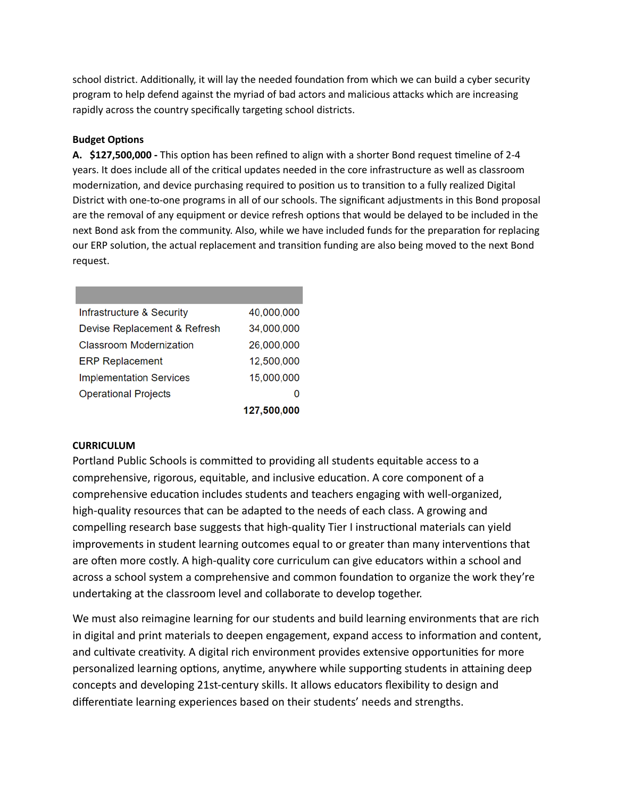school district. Additionally, it will lay the needed foundation from which we can build a cyber security program to help defend against the myriad of bad actors and malicious attacks which are increasing rapidly across the country specifically targeting school districts.

## **Budget Options**

**A.** \$127,500,000 - This option has been refined to align with a shorter Bond request timeline of 2-4 years. It does include all of the critical updates needed in the core infrastructure as well as classroom modernization, and device purchasing required to position us to transition to a fully realized Digital District with one-to-one programs in all of our schools. The significant adjustments in this Bond proposal are the removal of any equipment or device refresh options that would be delayed to be included in the next Bond ask from the community. Also, while we have included funds for the preparation for replacing our ERP solution, the actual replacement and transition funding are also being moved to the next Bond request.

| Infrastructure & Security      | 40,000,000  |
|--------------------------------|-------------|
| Devise Replacement & Refresh   | 34,000,000  |
| Classroom Modernization        | 26,000,000  |
| <b>ERP Replacement</b>         | 12,500,000  |
| <b>Implementation Services</b> | 15,000,000  |
| <b>Operational Projects</b>    |             |
|                                | 127,500,000 |

## **CURRICULUM**

Portland Public Schools is committed to providing all students equitable access to a comprehensive, rigorous, equitable, and inclusive education. A core component of a comprehensive education includes students and teachers engaging with well-organized, high-quality resources that can be adapted to the needs of each class. A growing and compelling research base suggests that high-quality Tier I instructional materials can yield improvements in student learning outcomes equal to or greater than many interventions that are often more costly. A high-quality core curriculum can give educators within a school and across a school system a comprehensive and common foundation to organize the work they're undertaking at the classroom level and collaborate to develop together.

We must also reimagine learning for our students and build learning environments that are rich in digital and print materials to deepen engagement, expand access to information and content, and cultivate creativity. A digital rich environment provides extensive opportunities for more personalized learning options, anytime, anywhere while supporting students in attaining deep concepts and developing 21st-century skills. It allows educators flexibility to design and differentiate learning experiences based on their students' needs and strengths.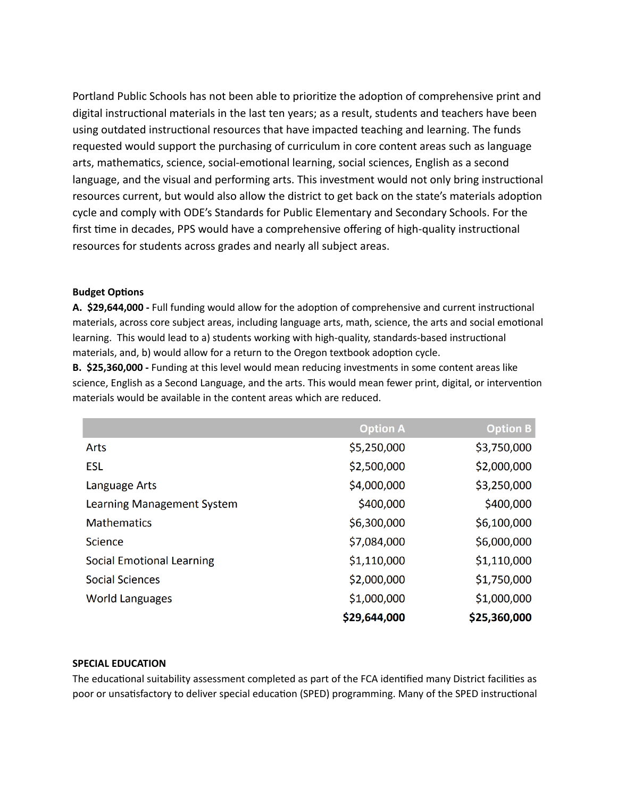Portland Public Schools has not been able to prioritize the adoption of comprehensive print and digital instructional materials in the last ten years; as a result, students and teachers have been using outdated instructional resources that have impacted teaching and learning. The funds requested would support the purchasing of curriculum in core content areas such as language arts, mathematics, science, social-emotional learning, social sciences, English as a second language, and the visual and performing arts. This investment would not only bring instructional resources current, but would also allow the district to get back on the state's materials adoption cycle and comply with ODE's Standards for Public Elementary and Secondary Schools. For the first time in decades, PPS would have a comprehensive offering of high-quality instructional resources for students across grades and nearly all subject areas.

#### **Budget Options**

A. \$29,644,000 - Full funding would allow for the adoption of comprehensive and current instructional materials, across core subject areas, including language arts, math, science, the arts and social emotional learning. This would lead to a) students working with high-quality, standards-based instructional materials, and, b) would allow for a return to the Oregon textbook adoption cycle.

**B. \$25,360,000 -** Funding at this level would mean reducing investments in some content areas like science, English as a Second Language, and the arts. This would mean fewer print, digital, or intervention materials would be available in the content areas which are reduced.

|                                  | <b>Option A</b> | <b>Option B</b> |
|----------------------------------|-----------------|-----------------|
| Arts                             | \$5,250,000     | \$3,750,000     |
| <b>ESL</b>                       | \$2,500,000     | \$2,000,000     |
| Language Arts                    | \$4,000,000     | \$3,250,000     |
| Learning Management System       | \$400,000       | \$400,000       |
| <b>Mathematics</b>               | \$6,300,000     | \$6,100,000     |
| <b>Science</b>                   | \$7,084,000     | \$6,000,000     |
| <b>Social Emotional Learning</b> | \$1,110,000     | \$1,110,000     |
| <b>Social Sciences</b>           | \$2,000,000     | \$1,750,000     |
| <b>World Languages</b>           | \$1,000,000     | \$1,000,000     |
|                                  | \$29,644,000    | \$25,360,000    |

## **SPECIAL EDUCATION**

The educational suitability assessment completed as part of the FCA identified many District facilities as poor or unsatisfactory to deliver special education (SPED) programming. Many of the SPED instructional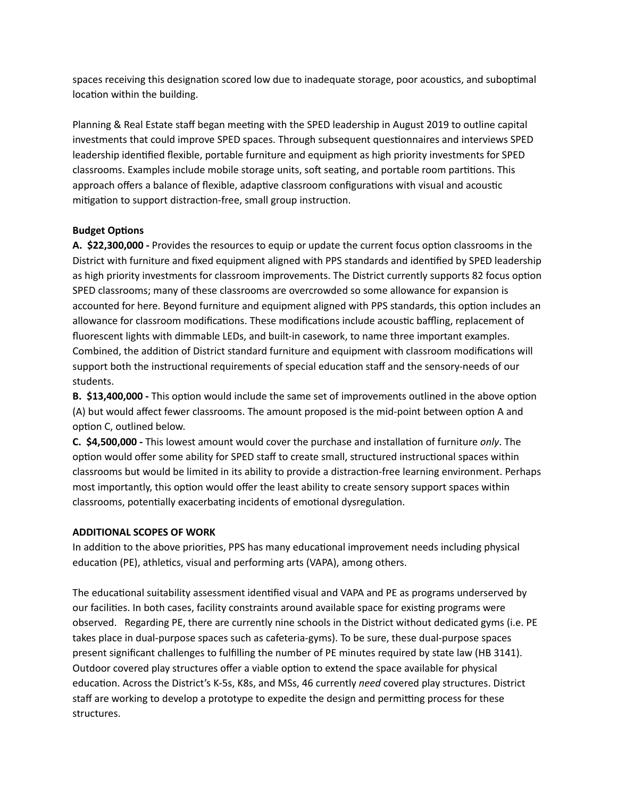spaces receiving this designation scored low due to inadequate storage, poor acoustics, and suboptimal location within the building.

Planning & Real Estate staff began meeting with the SPED leadership in August 2019 to outline capital investments that could improve SPED spaces. Through subsequent questionnaires and interviews SPED leadership idenfied flexible, portable furniture and equipment as high priority investments for SPED classrooms. Examples include mobile storage units, soft seating, and portable room partitions. This approach offers a balance of flexible, adaptive classroom configurations with visual and acoustic mitigation to support distraction-free, small group instruction.

## **Budget Options**

**A.** \$22,300,000 - Provides the resources to equip or update the current focus option classrooms in the District with furniture and fixed equipment aligned with PPS standards and idenfied by SPED leadership as high priority investments for classroom improvements. The District currently supports 82 focus option SPED classrooms; many of these classrooms are overcrowded so some allowance for expansion is accounted for here. Beyond furniture and equipment aligned with PPS standards, this option includes an allowance for classroom modifications. These modifications include acoustic baffling, replacement of fluorescent lights with dimmable LEDs, and built-in casework, to name three important examples. Combined, the addition of District standard furniture and equipment with classroom modifications will support both the instructional requirements of special education staff and the sensory-needs of our students.

**B.** \$13,400,000 - This option would include the same set of improvements outlined in the above option (A) but would affect fewer classrooms. The amount proposed is the mid-point between option A and option C, outlined below.

**C.** \$4,500,000 - This lowest amount would cover the purchase and installation of furniture *only*. The option would offer some ability for SPED staff to create small, structured instructional spaces within classrooms but would be limited in its ability to provide a distraction-free learning environment. Perhaps most importantly, this option would offer the least ability to create sensory support spaces within classrooms, potentially exacerbating incidents of emotional dysregulation.

## **ADDITIONAL SCOPES OF WORK**

In addition to the above priorities, PPS has many educational improvement needs including physical education (PE), athletics, visual and performing arts (VAPA), among others.

The educational suitability assessment identified visual and VAPA and PE as programs underserved by our facilities. In both cases, facility constraints around available space for existing programs were observed. Regarding PE, there are currently nine schools in the District without dedicated gyms (i.e. PE takes place in dual-purpose spaces such as cafeteria-gyms). To be sure, these dual-purpose spaces present significant challenges to fulfilling the number of PE minutes required by state law (HB 3141). Outdoor covered play structures offer a viable option to extend the space available for physical education. Across the District's K-5s, K8s, and MSs, 46 currently *need* covered play structures. District staff are working to develop a prototype to expedite the design and permitting process for these structures.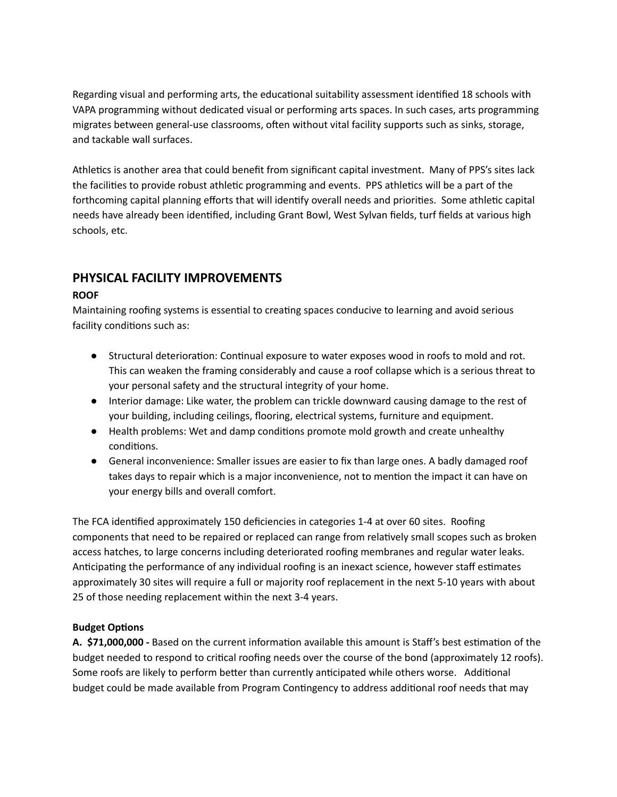Regarding visual and performing arts, the educational suitability assessment identified 18 schools with VAPA programming without dedicated visual or performing arts spaces. In such cases, arts programming migrates between general-use classrooms, often without vital facility supports such as sinks, storage, and tackable wall surfaces.

Athletics is another area that could benefit from significant capital investment. Many of PPS's sites lack the facilities to provide robust athletic programming and events. PPS athletics will be a part of the forthcoming capital planning efforts that will identify overall needs and priorities. Some athletic capital needs have already been idenfied, including Grant Bowl, West Sylvan fields, turf fields at various high schools, etc.

# **PHYSICAL FACILITY IMPROVEMENTS**

## **ROOF**

Maintaining roofing systems is essential to creating spaces conducive to learning and avoid serious facility conditions such as:

- Structural deterioration: Continual exposure to water exposes wood in roofs to mold and rot. This can weaken the framing considerably and cause a roof collapse which is a serious threat to your personal safety and the structural integrity of your home.
- Interior damage: Like water, the problem can trickle downward causing damage to the rest of your building, including ceilings, flooring, electrical systems, furniture and equipment.
- Health problems: Wet and damp conditions promote mold growth and create unhealthy conditions.
- General inconvenience: Smaller issues are easier to fix than large ones. A badly damaged roof takes days to repair which is a major inconvenience, not to mention the impact it can have on your energy bills and overall comfort.

The FCA identified approximately 150 deficiencies in categories 1-4 at over 60 sites. Roofing components that need to be repaired or replaced can range from relatively small scopes such as broken access hatches, to large concerns including deteriorated roofing membranes and regular water leaks. Anticipating the performance of any individual roofing is an inexact science, however staff estimates approximately 30 sites will require a full or majority roof replacement in the next 5-10 years with about 25 of those needing replacement within the next 3-4 years.

## **Budget Options**

A. \$71,000,000 - Based on the current information available this amount is Staff's best estimation of the budget needed to respond to critical roofing needs over the course of the bond (approximately 12 roofs). Some roofs are likely to perform better than currently anticipated while others worse. Additional budget could be made available from Program Contingency to address additional roof needs that may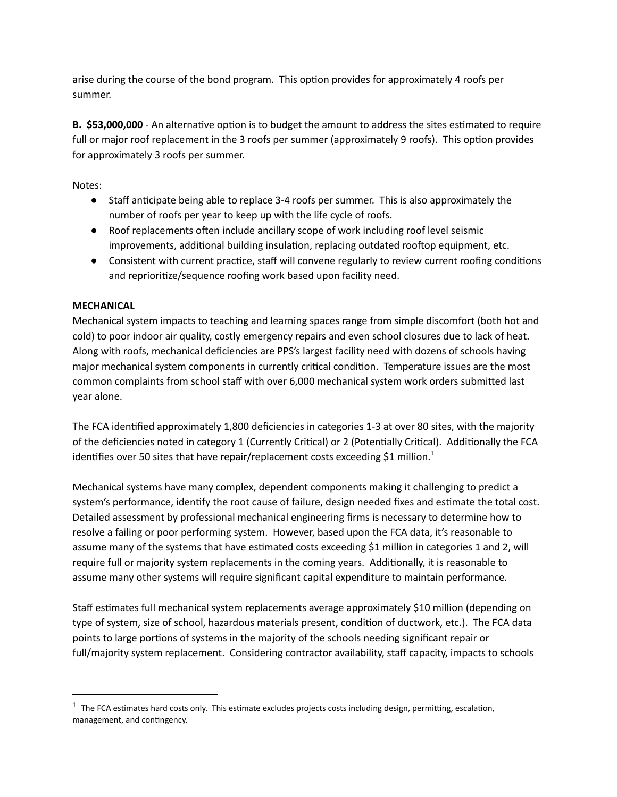arise during the course of the bond program. This option provides for approximately 4 roofs per summer.

**B.** \$53,000,000 - An alternative option is to budget the amount to address the sites estimated to require full or major roof replacement in the 3 roofs per summer (approximately 9 roofs). This option provides for approximately 3 roofs per summer.

Notes:

- Staff anticipate being able to replace 3-4 roofs per summer. This is also approximately the number of roofs per year to keep up with the life cycle of roofs.
- Roof replacements often include ancillary scope of work including roof level seismic improvements, additional building insulation, replacing outdated rooftop equipment, etc.
- Consistent with current practice, staff will convene regularly to review current roofing conditions and reprioritize/sequence roofing work based upon facility need.

## **MECHANICAL**

Mechanical system impacts to teaching and learning spaces range from simple discomfort (both hot and cold) to poor indoor air quality, costly emergency repairs and even school closures due to lack of heat. Along with roofs, mechanical deficiencies are PPS's largest facility need with dozens of schools having major mechanical system components in currently critical condition. Temperature issues are the most common complaints from school staff with over 6,000 mechanical system work orders submitted last year alone.

The FCA identified approximately 1,800 deficiencies in categories 1-3 at over 80 sites, with the majority of the deficiencies noted in category 1 (Currently Critical) or 2 (Potentially Critical). Additionally the FCA identifies over 50 sites that have repair/replacement costs exceeding \$1 million.<sup>1</sup>

Mechanical systems have many complex, dependent components making it challenging to predict a system's performance, identify the root cause of failure, design needed fixes and estimate the total cost. Detailed assessment by professional mechanical engineering firms is necessary to determine how to resolve a failing or poor performing system. However, based upon the FCA data, it's reasonable to assume many of the systems that have estimated costs exceeding \$1 million in categories 1 and 2, will require full or majority system replacements in the coming years. Additionally, it is reasonable to assume many other systems will require significant capital expenditure to maintain performance.

Staff estimates full mechanical system replacements average approximately \$10 million (depending on type of system, size of school, hazardous materials present, condition of ductwork, etc.). The FCA data points to large portions of systems in the majority of the schools needing significant repair or full/majority system replacement. Considering contractor availability, staff capacity, impacts to schools

 $1$  The FCA estimates hard costs only. This estimate excludes projects costs including design, permitting, escalation, management, and contingency.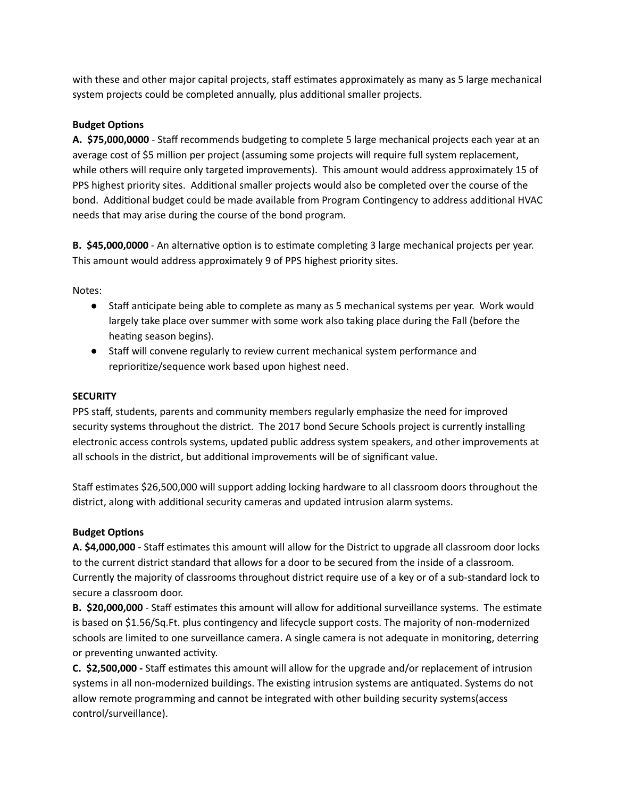with these and other major capital projects, staff estimates approximately as many as 5 large mechanical system projects could be completed annually, plus additional smaller projects.

## **Budget Options**

**A. \$75,000,0000** - Staff recommends budgeting to complete 5 large mechanical projects each year at an average cost of \$5 million per project (assuming some projects will require full system replacement, while others will require only targeted improvements). This amount would address approximately 15 of PPS highest priority sites. Additional smaller projects would also be completed over the course of the bond. Additional budget could be made available from Program Contingency to address additional HVAC needs that may arise during the course of the bond program.

**B.** \$45,000,0000 - An alternative option is to estimate completing 3 large mechanical projects per year. This amount would address approximately 9 of PPS highest priority sites.

Notes:

- Staff anticipate being able to complete as many as 5 mechanical systems per year. Work would largely take place over summer with some work also taking place during the Fall (before the heating season begins).
- Staff will convene regularly to review current mechanical system performance and reprioritize/sequence work based upon highest need.

## **SECURITY**

PPS staff, students, parents and community members regularly emphasize the need for improved security systems throughout the district. The 2017 bond Secure Schools project is currently installing electronic access controls systems, updated public address system speakers, and other improvements at all schools in the district, but additional improvements will be of significant value.

Staff estimates \$26,500,000 will support adding locking hardware to all classroom doors throughout the district, along with additional security cameras and updated intrusion alarm systems.

## **Budget Options**

A. \$4,000,000 - Staff estimates this amount will allow for the District to upgrade all classroom door locks to the current district standard that allows for a door to be secured from the inside of a classroom. Currently the majority of classrooms throughout district require use of a key or of a sub-standard lock to secure a classroom door.

**B.** \$20,000,000 - Staff estimates this amount will allow for additional surveillance systems. The estimate is based on \$1.56/Sq.Ft. plus contingency and lifecycle support costs. The majority of non-modernized schools are limited to one surveillance camera. A single camera is not adequate in monitoring, deterring or preventing unwanted activity.

**C.** \$2,500,000 - Staff estimates this amount will allow for the upgrade and/or replacement of intrusion systems in all non-modernized buildings. The existing intrusion systems are antiquated. Systems do not allow remote programming and cannot be integrated with other building security systems(access control/surveillance).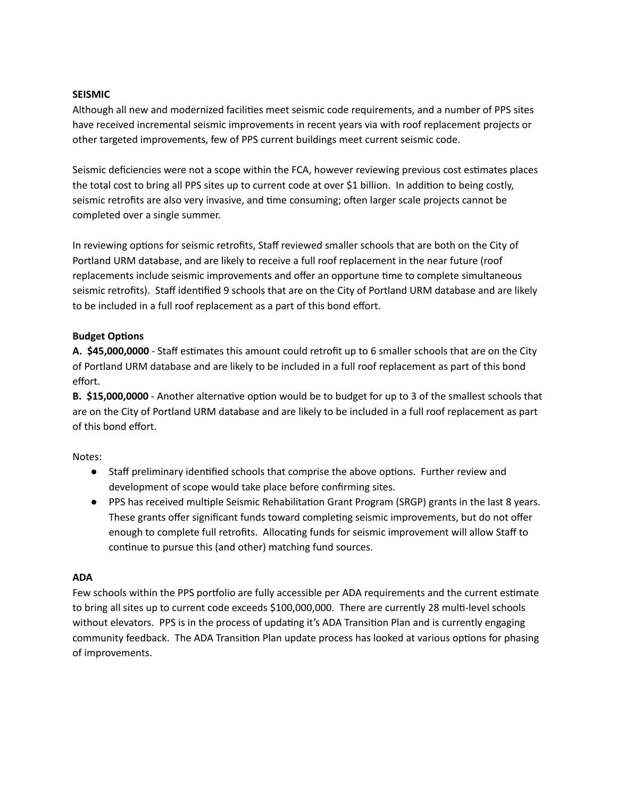## **SEISMIC**

Although all new and modernized facilities meet seismic code requirements, and a number of PPS sites have received incremental seismic improvements in recent years via with roof replacement projects or other targeted improvements, few of PPS current buildings meet current seismic code.

Seismic deficiencies were not a scope within the FCA, however reviewing previous cost estimates places the total cost to bring all PPS sites up to current code at over \$1 billion. In addition to being costly, seismic retrofits are also very invasive, and time consuming; often larger scale projects cannot be completed over a single summer.

In reviewing options for seismic retrofits, Staff reviewed smaller schools that are both on the City of Portland URM database, and are likely to receive a full roof replacement in the near future (roof replacements include seismic improvements and offer an opportune time to complete simultaneous seismic retrofits). Staff identified 9 schools that are on the City of Portland URM database and are likely to be included in a full roof replacement as a part of this bond effort.

## **Budget Options**

A. \$45,000,0000 - Staff estimates this amount could retrofit up to 6 smaller schools that are on the City of Portland URM database and are likely to be included in a full roof replacement as part of this bond effort.

**B.** \$15,000,0000 - Another alternative option would be to budget for up to 3 of the smallest schools that are on the City of Portland URM database and are likely to be included in a full roof replacement as part of this bond effort.

Notes:

- Staff preliminary identified schools that comprise the above options. Further review and development of scope would take place before confirming sites.
- PPS has received multiple Seismic Rehabilitation Grant Program (SRGP) grants in the last 8 years. These grants offer significant funds toward completing seismic improvements, but do not offer enough to complete full retrofits. Allocating funds for seismic improvement will allow Staff to continue to pursue this (and other) matching fund sources.

#### **ADA**

Few schools within the PPS portfolio are fully accessible per ADA requirements and the current estimate to bring all sites up to current code exceeds \$100,000,000. There are currently 28 multi-level schools without elevators. PPS is in the process of updating it's ADA Transition Plan and is currently engaging community feedback. The ADA Transition Plan update process has looked at various options for phasing of improvements.